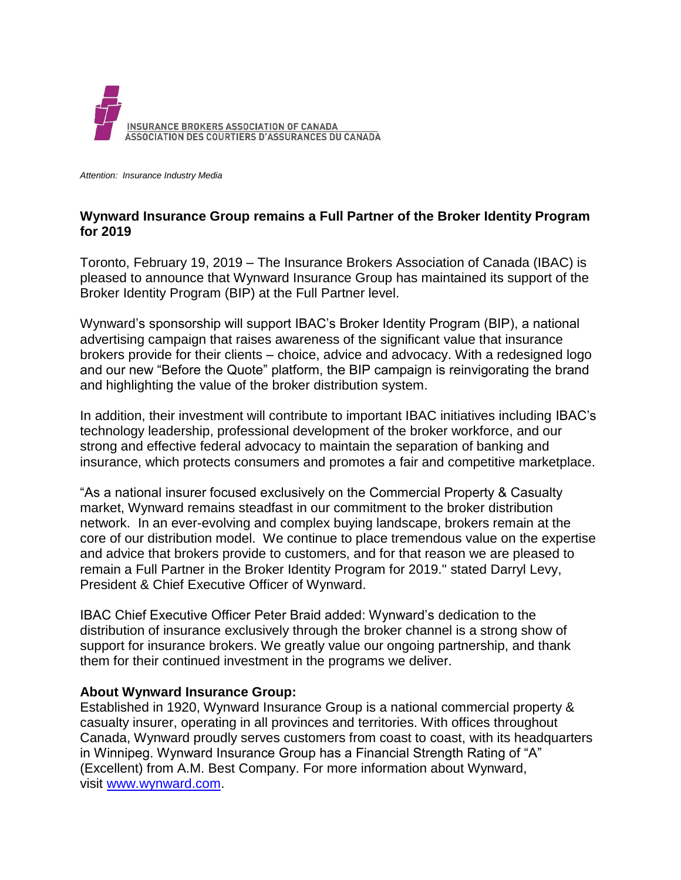

*Attention: Insurance Industry Media*

## **Wynward Insurance Group remains a Full Partner of the Broker Identity Program for 2019**

Toronto, February 19, 2019 – The Insurance Brokers Association of Canada (IBAC) is pleased to announce that Wynward Insurance Group has maintained its support of the Broker Identity Program (BIP) at the Full Partner level.

Wynward's sponsorship will support IBAC's Broker Identity Program (BIP), a national advertising campaign that raises awareness of the significant value that insurance brokers provide for their clients – choice, advice and advocacy. With a redesigned logo and our new "Before the Quote" platform, the BIP campaign is reinvigorating the brand and highlighting the value of the broker distribution system.

In addition, their investment will contribute to important IBAC initiatives including IBAC's technology leadership, professional development of the broker workforce, and our strong and effective federal advocacy to maintain the separation of banking and insurance, which protects consumers and promotes a fair and competitive marketplace.

"As a national insurer focused exclusively on the Commercial Property & Casualty market, Wynward remains steadfast in our commitment to the broker distribution network. In an ever-evolving and complex buying landscape, brokers remain at the core of our distribution model. We continue to place tremendous value on the expertise and advice that brokers provide to customers, and for that reason we are pleased to remain a Full Partner in the Broker Identity Program for 2019." stated Darryl Levy, President & Chief Executive Officer of Wynward.

IBAC Chief Executive Officer Peter Braid added: Wynward's dedication to the distribution of insurance exclusively through the broker channel is a strong show of support for insurance brokers. We greatly value our ongoing partnership, and thank them for their continued investment in the programs we deliver.

## **About Wynward Insurance Group:**

Established in 1920, Wynward Insurance Group is a national commercial property & casualty insurer, operating in all provinces and territories. With offices throughout Canada, Wynward proudly serves customers from coast to coast, with its headquarters in Winnipeg. Wynward Insurance Group has a Financial Strength Rating of "A" (Excellent) from A.M. Best Company. For more information about Wynward, visit [www.wynward.com.](http://www.wynward.com/)